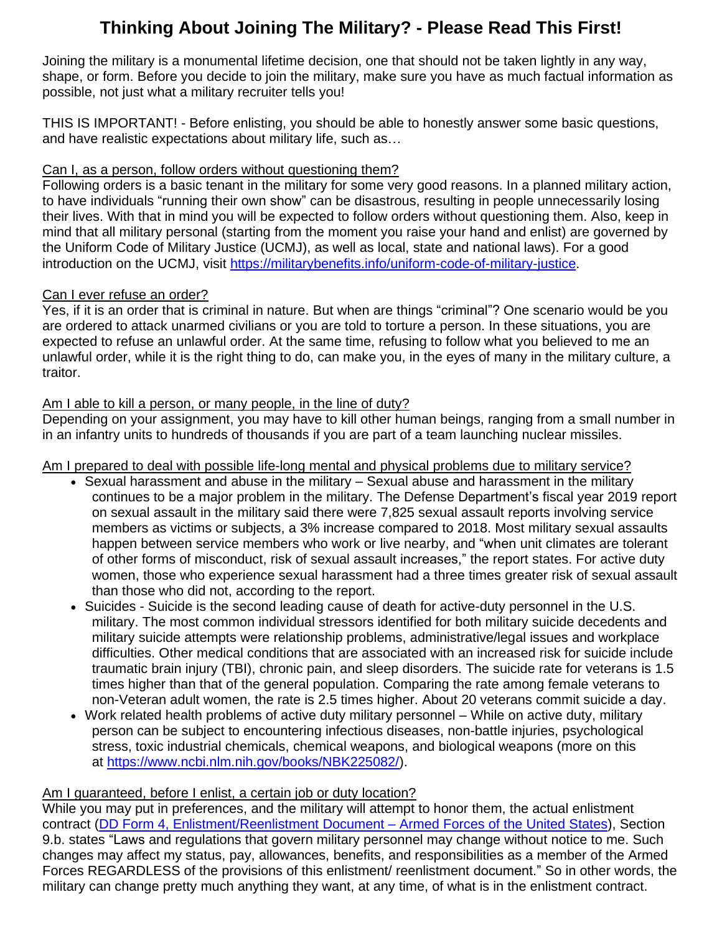# **Thinking About Joining The Military? - Please Read This First!**

Joining the military is a monumental lifetime decision, one that should not be taken lightly in any way, shape, or form. Before you decide to join the military, make sure you have as much factual information as possible, not just what a military recruiter tells you!

THIS IS IMPORTANT! - Before enlisting, you should be able to honestly answer some basic questions, and have realistic expectations about military life, such as…

## Can I, as a person, follow orders without questioning them?

Following orders is a basic tenant in the military for some very good reasons. In a planned military action, to have individuals "running their own show" can be disastrous, resulting in people unnecessarily losing their lives. With that in mind you will be expected to follow orders without questioning them. Also, keep in mind that all military personal (starting from the moment you raise your hand and enlist) are governed by the Uniform Code of Military Justice (UCMJ), as well as local, state and national laws). For a good introduction on the UCMJ, visit [https://militarybenefits.info/uniform-code-of-military-justice.](https://militarybenefits.info/uniform-code-of-military-justice)

## Can I ever refuse an order?

Yes, if it is an order that is criminal in nature. But when are things "criminal"? One scenario would be you are ordered to attack unarmed civilians or you are told to torture a person. In these situations, you are expected to refuse an unlawful order. At the same time, refusing to follow what you believed to me an unlawful order, while it is the right thing to do, can make you, in the eyes of many in the military culture, a traitor.

## Am I able to kill a person, or many people, in the line of duty?

Depending on your assignment, you may have to kill other human beings, ranging from a small number in in an infantry units to hundreds of thousands if you are part of a team launching nuclear missiles.

Am I prepared to deal with possible life-long mental and physical problems due to military service?

- Sexual harassment and abuse in the military Sexual abuse and harassment in the military continues to be a major problem in the military. The Defense Department's fiscal year 2019 report on sexual assault in the military said there were 7,825 sexual assault reports involving service members as victims or subjects, a 3% increase compared to 2018. Most military sexual assaults happen between service members who work or live nearby, and "when unit climates are tolerant of other forms of misconduct, risk of sexual assault increases," the report states. For active duty women, those who experience sexual harassment had a three times greater risk of sexual assault than those who did not, according to the report.
- Suicides Suicide is the second leading cause of death for active-duty personnel in the U.S. military. The most common individual stressors identified for both military suicide decedents and military suicide attempts were relationship problems, administrative/legal issues and workplace difficulties. Other medical conditions that are associated with an increased risk for suicide include traumatic brain injury (TBI), chronic pain, and sleep disorders. The suicide rate for veterans is 1.5 times higher than that of the general population. Comparing the rate among female veterans to non-Veteran adult women, the rate is 2.5 times higher. About 20 veterans commit suicide a day.
- Work related health problems of active duty military personnel While on active duty, military person can be subject to encountering infectious diseases, non-battle injuries, psychological stress, toxic industrial chemicals, chemical weapons, and biological weapons (more on this at [https://www.ncbi.nlm.nih.gov/books/NBK225082/\)](https://www.ncbi.nlm.nih.gov/books/NBK225082/).

## Am I guaranteed, before I enlist, a certain job or duty location?

While you may put in preferences, and the military will attempt to honor them, the actual enlistment contract (DD Form 4, [Enlistment/Reenlistment](https://www.presby.edu/doc/military/DDForm-4.pdf) Document – Armed Forces of the United States), Section 9.b. states "Laws and regulations that govern military personnel may change without notice to me. Such changes may affect my status, pay, allowances, benefits, and responsibilities as a member of the Armed Forces REGARDLESS of the provisions of this enlistment/ reenlistment document." So in other words, the military can change pretty much anything they want, at any time, of what is in the enlistment contract.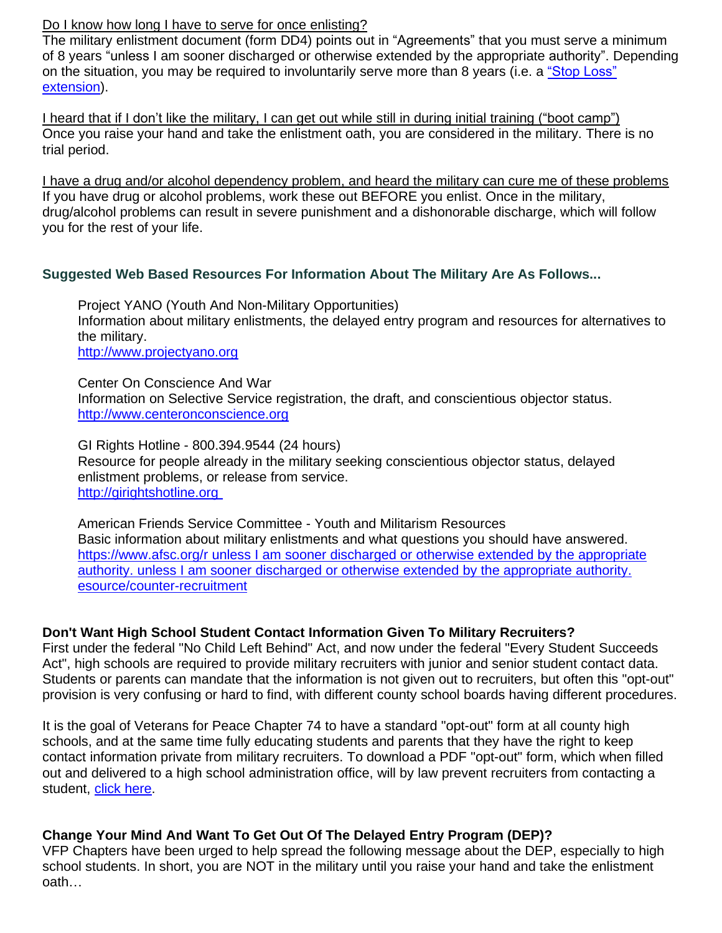#### Do I know how long I have to serve for once enlisting?

The military enlistment document (form DD4) points out in "Agreements" that you must serve a minimum of 8 years "unless I am sooner discharged or otherwise extended by the appropriate authority". Depending on the situation, you may be required to involuntarily serve more than 8 years (i.e. a "Stop [Loss"](https://militarybenefits.info/stop-loss-order/) [extension\)](https://militarybenefits.info/stop-loss-order/).

I heard that if I don't like the military, I can get out while still in during initial training ("boot camp") Once you raise your hand and take the enlistment oath, you are considered in the military. There is no trial period.

I have a drug and/or alcohol dependency problem, and heard the military can cure me of these problems If you have drug or alcohol problems, work these out BEFORE you enlist. Once in the military, drug/alcohol problems can result in severe punishment and a dishonorable discharge, which will follow you for the rest of your life.

#### **Suggested Web Based Resources For Information About The Military Are As Follows...**

Project YANO (Youth And Non-Military Opportunities) Information about military enlistments, the delayed entry program and resources for alternatives to the military.

[http://www.projectyano.org](http://www.projectyano.org/)

Center On Conscience And War Information on Selective Service registration, the draft, and conscientious objector status. [http://www.centeronconscience.org](http://www.centeronconscience.org/)

GI Rights Hotline - 800.394.9544 (24 hours) Resource for people already in the military seeking conscientious objector status, delayed enlistment problems, or release from service. [http://girightshotline.org](http://girightshotline.org/)

American Friends Service Committee - Youth and Militarism Resources Basic information about military enlistments and what questions you should have answered. [https://www.afsc.org/r](https://www.afsc.org/resource/counter-recruitment) unless I am sooner discharged or otherwise extended by the appropriate authority. unless I am sooner discharged or otherwise extended by the [appropriate](https://www.afsc.org/resource/counter-recruitment) authority. [esource/counter-recruitment](https://www.afsc.org/resource/counter-recruitment)

#### **Don't Want High School Student Contact Information Given To Military Recruiters?**

First under the federal "No Child Left Behind" Act, and now under the federal "Every Student Succeeds Act", high schools are required to provide military recruiters with junior and senior student contact data. Students or parents can mandate that the information is not given out to recruiters, but often this "opt-out" provision is very confusing or hard to find, with different county school boards having different procedures.

It is the goal of Veterans for Peace Chapter 74 to have a standard "opt-out" form at all county high schools, and at the same time fully educating students and parents that they have the right to keep contact information private from military recruiters. To download a PDF "opt-out" form, which when filled out and delivered to a high school administration office, will by law prevent recruiters from contacting a student, click [here.](https://dce38e56-2493-4b39-b71f-8709e753bd00.filesusr.com/ugd/50be72_004efa8399c24907bb96a8e13a3815f3.pdf)

#### **Change Your Mind And Want To Get Out Of The Delayed Entry Program (DEP)?**

VFP Chapters have been urged to help spread the following message about the DEP, especially to high school students. In short, you are NOT in the military until you raise your hand and take the enlistment oath…